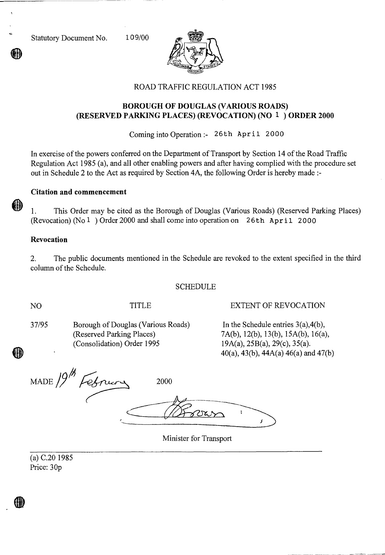Statutory Document No. 10 9/00



## ROAD TRAFFIC REGULATION ACT 1985

# **BOROUGH OF DOUGLAS (VARIOUS ROADS) (RESERVED PARKING PLACES) (REVOCATION) (NO 1 ) ORDER 2000**

Coming into Operation :- 26th April 2000

In exercise of the powers conferred on the Department of Transport by Section 14 of the Road Traffic Regulation Act 1985 (a), and all other enabling powers and after having complied with the procedure set out in Schedule 2 to the Act as required by Section 4A, the following Order is hereby made :-

## **Citation and commencement**

1. This Order may be cited as the Borough of Douglas (Various Roads) (Reserved Parking Places) (Revocation) (No 1 ) Order 2000 and shall come into operation on 2 6th April 2000

#### **Revocation**

2. The public documents mentioned in the Schedule are revoked to the extent specified in the third column of the Schedule.

#### SCHEDULE

HĐ

NO TITLE EXTENT OF REVOCATION

| 37/95 | Borough of Douglas (Various Roads) |
|-------|------------------------------------|
|       | (Reserved Parking Places)          |
|       | (Consolidation) Order 1995         |

 $\sum$  In the Schedule entries 3(a),4(b), 7A(b), 12(b), 13(b), 15A(b), 16(a),  $19A(a), 25B(a), 29(c), 35(a).$ 40(a), 43(b), 44A(a) 46(a) and 47(b)

MADE 19<sup>th</sup> February 2000

Minister for Transport

(a) C.20 1985 Price: 30p